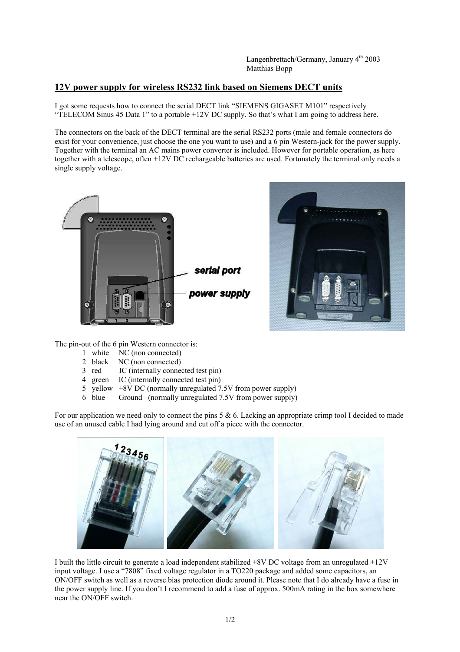## **12V power supply for wireless RS232 link based on Siemens DECT units**

I got some requests how to connect the serial DECT link "SIEMENS GIGASET M101" respectively "TELECOM Sinus 45 Data 1" to a portable +12V DC supply. So that's what I am going to address here.

The connectors on the back of the DECT terminal are the serial RS232 ports (male and female connectors do exist for your convenience, just choose the one you want to use) and a 6 pin Western-jack for the power supply. Together with the terminal an AC mains power converter is included. However for portable operation, as here together with a telescope, often +12V DC rechargeable batteries are used. Fortunately the terminal only needs a single supply voltage.





The pin-out of the 6 pin Western connector is:

- 1 white NC (non connected)
- 2 black NC (non connected)<br>3 red IC (internally conne
- IC (internally connected test pin)
- 4 green IC (internally connected test pin)
- 5 yellow +8V DC (normally unregulated 7.5V from power supply)
- 6 blue Ground (normally unregulated 7.5V from power supply)

For our application we need only to connect the pins  $5 & 6$ . Lacking an appropriate crimp tool I decided to made use of an unused cable I had lying around and cut off a piece with the connector.



I built the little circuit to generate a load independent stabilized +8V DC voltage from an unregulated +12V input voltage. I use a "7808" fixed voltage regulator in a TO220 package and added some capacitors, an ON/OFF switch as well as a reverse bias protection diode around it. Please note that I do already have a fuse in the power supply line. If you don't I recommend to add a fuse of approx. 500mA rating in the box somewhere near the ON/OFF switch.